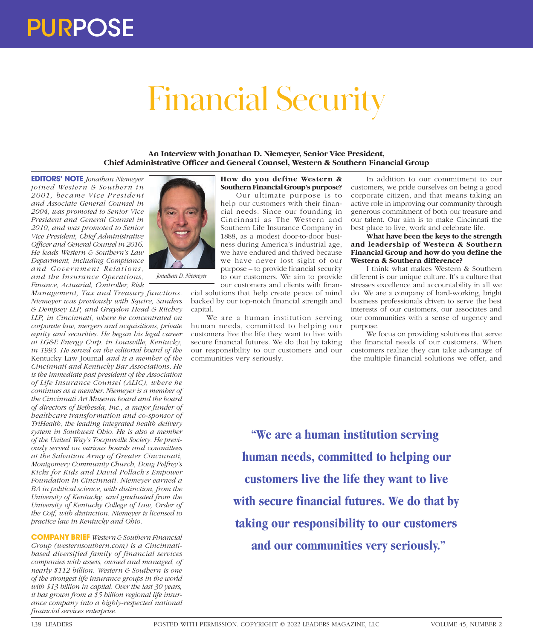# Financial Security

**An Interview with Jonathan D. Niemeyer, Senior Vice President, Chief Administrative Officer and General Counsel, Western & Southern Financial Group**

**EDITORS' NOTE** *Jonathan Niemeyer joined Western & Southern in 2001, became Vice Pr esident and Associate General Counsel in 2004, was promoted to Senior Vice President and General Counsel in 2010, and was promoted to Senior Vice President, Chief Administrative Officer and General Counsel in 2016. He leads Western & Southern's Law Department, including Compliance and Gover nment Relations, and the Insurance Operations, Finance, Actuarial, Controller, Risk* 

*Management, Tax and Treasury functions. Niemeyer was previously with Squire, Sanders & Dempsey LLP, and Graydon Head & Ritchey LLP, in Cincinnati, where he concentrated on corporate law, mergers and acquisitions, private equity and securities. He began his legal career at LG&E Energy Corp. in Louisville, Kentucky, in 1993. He served on the editorial board of the*  Kentucky Law Journal *and is a member of the Cincinnati and Kentucky Bar Associations. He is the immediate past president of the Association of Life Insurance Counsel (ALIC), where he continues as a member. Niemeyer is a member of the Cincinnati Art Museum board and the board of directors of Bethesda, Inc., a major funder of healthcare transformation and co-sponsor of TriHealth, the leading integrated health delivery system in Southwest Ohio. He is also a member of the United Way's Tocqueville Society. He previously served on various boards and committees at the Salvation Army of Greater Cincinnati, Montgomery Community Church, Doug Pelfrey's Kicks for Kids and David Pollack's Empower Foundation in Cincinnati. Niemeyer earned a BA in political science, with distinction, from the University of Kentucky, and graduated from the University of Kentucky College of Law, Order of the Coif, with distinction. Niemeyer is licensed to practice law in Kentucky and Ohio.*

**COMPANY BRIEF** *Western & Southern Financial Group (westernsouthern.com) is a Cincinnatibased diversified family of financial services companies with assets, owned and managed, of nearly \$112 billion. Western & Southern is one of the strongest life insurance groups in the world with \$13 billion in capital. Over the last 30 years, it has grown from a \$5 billion regional life insurance company into a highly-respected national financial services enterprise.*



*Jonathan D. Niemeyer*

#### **How do you define Western & Southern Financial Group's purpose?**

Our ultimate purpose is to help our customers with their financial needs. Since our founding in Cincinnati as The Western and Southern Life Insurance Company in 1888, as a modest door-to-door business during America's industrial age, we have endured and thrived because we have never lost sight of our purpose – to provide financial security to our customers. We aim to provide our customers and clients with finan-

cial solutions that help create peace of mind backed by our top-notch financial strength and capital.

We are a human institution serving human needs, committed to helping our customers live the life they want to live with secure financial futures. We do that by taking our responsibility to our customers and our communities very seriously.

In addition to our commitment to our customers, we pride ourselves on being a good corporate citizen, and that means taking an active role in improving our community through generous commitment of both our treasure and our talent. Our aim is to make Cincinnati the best place to live, work and celebrate life.

# **What have been the keys to the strength and leadership of Western & Southern Financial Group and how do you define the Western & Southern difference?**

I think what makes Western & Southern different is our unique culture. It's a culture that stresses excellence and accountability in all we do. We are a company of hard-working, bright business professionals driven to serve the best interests of our customers, our associates and our communities with a sense of urgency and purpose.

We focus on providing solutions that serve the financial needs of our customers. When customers realize they can take advantage of the multiple financial solutions we offer, and

**"We are a human institution serving human needs, committed to helping our customers live the life they want to live with secure financial futures. We do that by taking our responsibility to our customers and our communities very seriously."**